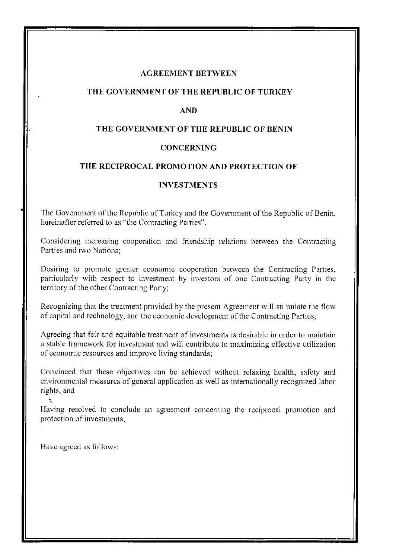#### **AGREEMENT BETWEEN**

#### **THE GOVERNMENT OF THE REPUBLIC OF TURKEY**

#### **AND**

### **THE GOVERNMENT OF THE REPUBLIC OF BENIN**

## **CONCERNING**

#### **THE RECIPROCAL PROMOTION AND PROTECTION OF**

## **INVESTMENTS**

The Government of the Republic of Turkey and the Government of the Republic of Benin, hereinafter referred to as "the Contracting Parties".

Considering increasing cooperation and friendship relations between the Contracting Parties and two Nations;

Desiring to promote greater economic cooperation between the Contracting Parties, particularly with respect to investment by investors of one Contracting Party in the territory of the other Contracting Party;

Recognizing that the treatment provided by the present Agreement will stimulate the flow of capital and technology, and the economic development of the Contracting Parties;

Agreeing that fair and equitable treatment of investments is desirable in order to maintain a stable framework for investment and will contribute to maximizing effective utilization of economic resources and improve living standards;

Convinced that these objectives can be achieved without relaxing health, safety and environmental measures of general application as well as internationally recognized labor rights, and

Having resolved to conclude an agreement concerning the reciprocal promotion and protection of investments,

Have agreed as follows:

ś.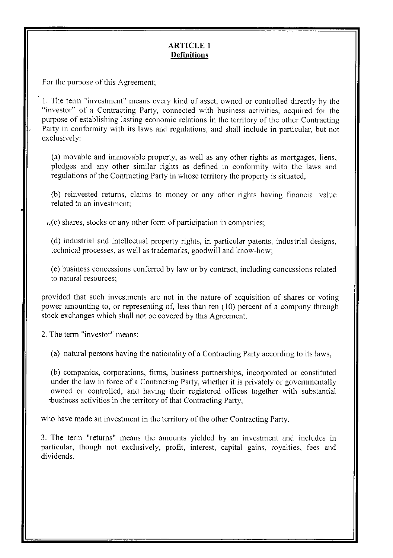# **ARTICLE 1 Definitions**

For the purpose of this Agreement;

1. The tenn "investment" means every kind of asset, owned or controlled directly by the "investor" of a Contracting Party, connected with business activities, acquired for the purpose of establishing lasting economic relations in the territory of the other Contracting Party in conformity with its laws and regulations, and shall include in particular, but not exclusively:

(a) movable and immovable property, as well as any other rights as mortgages, liens, pledges and any other similar rights as defined in conformity with the laws and regulations of the Contracting Party in whose territory the property is situated,

(b) reinvested returns, claims to money or any other rights having financial value related to an investment;

 $\mathcal{L}(\mathbf{c})$  shares, stocks or any other form of participation in companies;

( d) industrial and intellectual property rights, in particular patents, industrial designs, technical processes, as well as trademarks, goodwill and know-how;

(e) business concessions conferred by law or by contract, including concessions related to natural resources;

provided that such investments are not in the nature of acquisition of shares or voting power amounting to, or representing of, less than ten (10) percent of a company through stock exchanges which shall not be covered by this Agreement.

2. The tenn "investor" means:

(a) natural persons having the nationality of a Contracting Party according to its laws,

(b) companies, corporations, firms, business partnerships, incorporated or constituted under the law in force of a Contracting Party, whether it is privately or governmentally owned or controlled, and having their registered offices together with substantial 'business activities in the territory of that Contracting Party,

who have made an investment in the territory of the other Contracting Party.

3. The tenn "returns" means the amounts yielded by an investment and includes in particular, though not exclusively, profit, interest, capital gains, royalties, fees and dividends.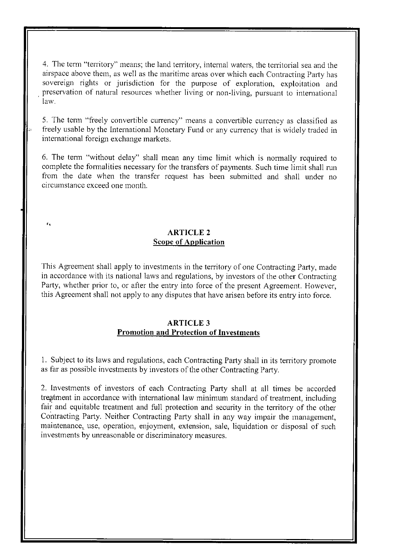4. The term "territory" means; the land territory, internal waters, the territorial sea and the airspace above them, as well as the maritime areas over which each Contracting Party has sovereign rights or jurisdiction for the purpose of exploration, exploitation and . preservation of natural resources whether living or non-living, pursuant to international law.

5. The term "freely convertible currency" means a convertible currency as classified as freely usable by the International Monetary Fund or any currency that is widely traded in international foreign exchange markets.

6. The tenn "without delay" shall mean any time limit which is normally required to complete the formalities necessary for the transfers of payments. Such time limit shall run from the date when the transfer request has been submitted and shall under no circumstance exceed one month.

# **ARTICLE 2 Scope of Application**

This Agreement shall apply to investments in the territory of one Contracting Party, made in accordance with its national laws and regulations, by investors of the other Contracting Party, whether prior to, or after the entry into force of the present Agreement. However, this Agreement shall not apply to any disputes that have arisen before its entry into force.

# **ARTICLE 3 Promotion and Protection of Investments**

1. Subject to its laws and regulations, each Contracting Party shall in its territory promote as far as possible investments by investors of the other Contracting Party.

2. Investments of investors of each Contracting Party shall at all times be accorded treatment in accordance with international law minimum standard of treatment, including fair and equitable treatment and full protection and security in the territory of the other Contracting Party. Neither Contracting Party shall in any way impair the management, maintenance, use, operation, enjoyment, extension, sale, liquidation or disposal of such investments by unreasonable or discriminatory measures.

r.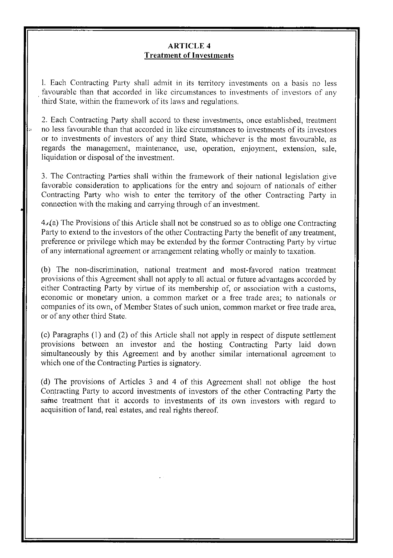## **ARTICLE 4 Treatment of Investments**

1. Each Contracting Party shall admit in its territory investments on a basis no less favourable than that accorded in like circumstances to investments of investors of any third State, within the framework of its laws and regulations.

2. Each Contracting Party shall accord to these investments, once established, treatment no less favourable than that accorded in like circumstances to investments of its investors or to investments of investors of any third State, whichever is the most favourable, as regards the management, maintenance, use, operation, enjoyment, extension, sale, liquidation or disposal of the investment.

3. The Contracting Parties shall within the framework of their national legislation give favorable consideration to applications for the entry and sojourn of nationals of either Contracting Party who wish to enter the territory of the other Contracting Party in connection with the making and carrying through of an investment.

4.,(a) The Provisions of this Article shall not be construed so as to oblige one Contracting Party to extend to the investors of the other Contracting Party the benefit of any treatment, preference or privilege which may be extended by the former Contracting Party by virtue of any international agreement or arrangement relating wholly or mainly to taxation.

(b) The non-discrimination, national treatment and most-favored nation treatment provisions of this Agreement shall not apply to all actual or future advantages accorded by either Contracting Party by virtue of its membership of, or association with a customs, economic or monetary union, a common market or a free trade area; to nationals or companies of its own, of Member States of such union, common market or free trade area, or of any other third State.

(c) Paragraphs (I) and (2) of this Article shall not apply in respect of dispute settlement provisions between an investor and the hosting Contracting Party laid down simultaneously by this Agreement and by another similar international agreement to which one of the Contracting Parties is signatory.

( d) The provisions of Articles 3 and 4 of this Agreement shall not oblige the host Contracting Party to accord investments of investors of the other Contracting Party the same treatment that it accords to investments of its own investors with regard to acquisition of land, real estates, and real rights thereof.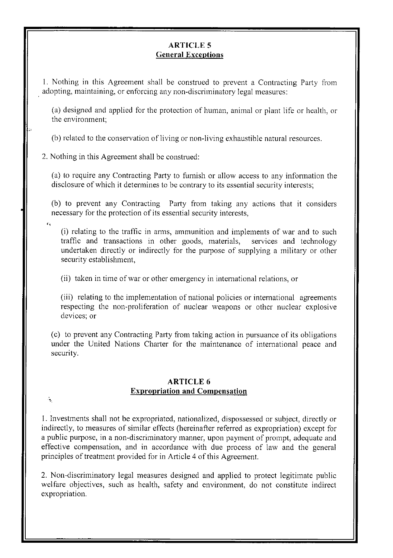# **ARTICLE 5 General Exceptions**

1. Nothing in this Agreement shall be construed to prevent a Contracting Party from . adopting, maintaining, or enforcing any non-discriminatory legal measures:

(a) designed and applied for the protection of human, animal or plant life or health, or the environment;

(b) related to the conservation of living or non-living exhaustible natural resources.

2. Nothing in this Agreement shall be construed:

( a) to require any Contracting Party to furnish or allow access to any information the disclosure of which it detennines to be contrary to its essential security interests;

(b) to prevent any Contracting Party from taking any actions that it considers necessary for the protection of its essential security interests,

(i) relating to the traffic in arms, ammunition and implements of war and to such traffic and transactions in other goods, materials, services and technology undertaken directly or indirectly for the purpose of supplying a military or other security establishment,

(ii) taken in time of war or other emergency in international relations, or

(iii) relating to the implementation of national policies or international agreements respecting the non-proliferation of nuclear weapons or other nuclear explosive devices; or

( c) to prevent any Contracting Party from taking action in pursuance of its obligations under the United Nations Charter for the maintenance of international peace and security.

## **ARTICLE 6 Expropriation and Compensation**

÷,

I. Investments shall not be expropriated, nationalized, dispossessed or subject, directly or indirectly, to measures of similar effects (hereinafter referred as expropriation) except for a public purpose, in a non-discriminatory manner, upon payment of prompt, adequate and effective compensation, and in accordance with due process of law and the general principles of treatment provided for in Article 4 of this Agreement.

2. Non-discriminatory legal measures designed and applied to protect legitimate public welfare objectives, such as health, safety and environment, do not constitute indirect expropriation.

 $\bar{\mathbf{r}}_k$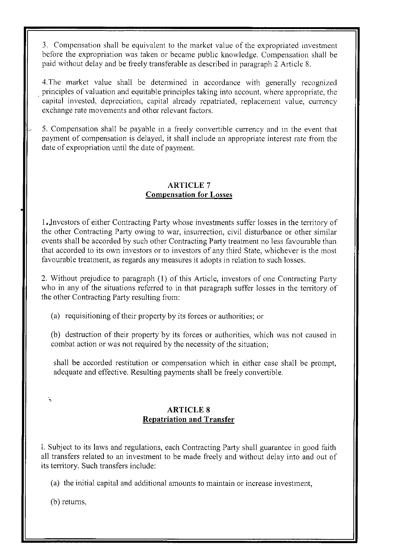3. Compensation shall be equivalent to the market value of the expropriated investment before the expropriation was taken or became public knowledge. Compensation shall be paid without delay and be freely transferable as described in paragraph 2 Article 8.

4.The market value shall be detennined in accordance with generally recognized principles of valuation and equitable principles taking into account, where appropriate, the capital invested, depreciation, capital already repatriated, replacement value, currency exchange rate movements and other relevant factors.

5. Compensation shall be payable in a freely convertible currency and in the event that payment of compensation is delayed, it shall include an appropriate interest rate from the date of expropriation until the date of payment.

# **ARTICLE 7 Compensation for Losses**

1. Investors of either Contracting Party whose investments suffer losses in the territory of the other Contracting Party owing to war, insurrection, civil disturbance or other similar events shall be accorded by such other Contracting Party treatment no less favourable than that accorded to its own investors or to investors of any third State, whichever is the most favourable treatment, as regards any measures it adopts in relation to such losses.

2. Without prejudice to paragraph (I) of this Article, investors of one Contracting Patiy who in any of the situations referred to in that paragraph suffer losses in the territory of the other Contracting Party resulting from:

(a) requisitioning of their property by its forces or authorities; or

(b) destruction of their property by its forces or authorities, which was not caused in combat action or was not required by the necessity of the situation;

shall be accorded restitution or compensation which in either case shall be prompt, adequate and effective. Resulting payments shall be freely convertible.

# **ARTICLE 8 Repatriation and Transfer**

1. Subject to its laws and regulations, each Contracting Party shall guarantee in good faith all transfers related to an investment to be made freely and without delay into and out of its territory. Such transfers include:

(a) the initial capital and additional amounts to maintain or increase investment,

(b) returns,

÷,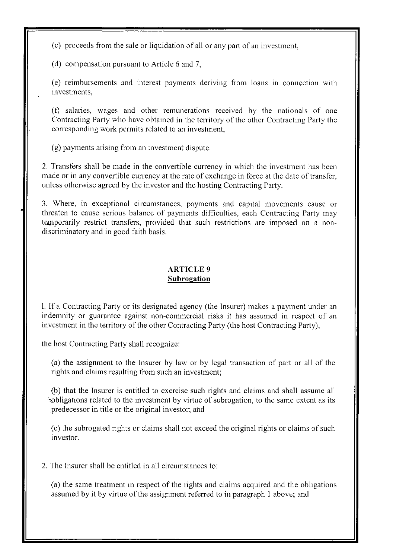(c) proceeds from the sale or liquidation of all or any part of an investment,

(d) compensation pursuant to Article 6 and 7,

(e) reimbursements and interest payments deriving from loans in connection with investments,

(t) salaries, wages and other remunerations received by the nationals of one Contracting Party who have obtained in the territory of the other Contracting Party the corresponding work permits related to an investment,

(g) payments arising from an investment dispute.

2. Transfers shall be made in the convertible currency in which the investment has been made or in any convertible currency at the rate of exchange in force at the date of transfer, unless otherwise agreed by the investor and the hosting Contracting Party.

3. Where, in exceptional circumstances, payments and capital movements cause or threaten to cause serious balance of payments difficulties, each Contracting Party may temporarily restrict transfers, provided that such restrictions are imposed on a nondiscriminatory and in good faith basis.

## **ARTICLE 9 Subrogation**

1. If a Contracting Party or its designated agency (the Insurer) makes a payment under an indemnity or guarantee against non-commercial risks it has assumed in respect of an investment in the territory of the other Contracting Party (the host Contracting Party),

the host Contracting Party shall recognize:

(a) the assignment to the Insurer by law or by legal transaction of part or all of the rights and claims resulting from such an investment;

(b) that the Insurer is entitled to exercise such rights and claims and shall assume all bubligations related to the investment by virtue of subrogation, to the same extent as its predecessor in title or the original investor; and

(c) the subrogated rights or claims shall not exceed the original rights or claims of such investor.

2. The Insurer shall be entitled in all circumstances to:

(a) the same treatment in respect of the rights and claims acquired and the obligations assumed by it by virtue of the assignment referred to in paragraph I above; and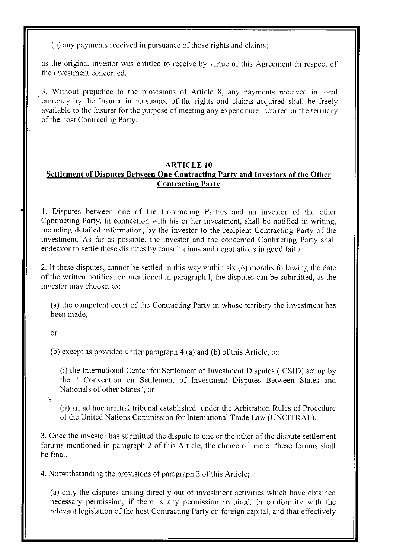(b) any payments received in pursuance of those rights and claims;

as the original investor was entitled to receive by virtue of this Agreement in respect of the investment concerned.

3. Without prejudice to the provisions of Article 8, any payments received in local currency by the Insurer in pursuance of the rights and claims acquired shall be freely available to the Insurer for the purpose of meeting any expenditure incurred in the territory of the host Contracting Party.

# **ARTICLE 10**

# **Settlement of Disputes Between One Contracting Party and Investors of the Other Contracting Party**

I. Disputes between one of the Contracting Parties and an investor of the other Contracting Party, in connection with his or her investment, shall be notified in writing, including detailed infonnation, by the investor to the recipient Contracting Party of the investment. As far as possible, the investor and the concerned Contracting Party shall endeavor to settle these disputes by consultations and negotiations in good faith.

2. If these disputes, cannot be settled in this way within six (6) months following the date of the written notification mentioned in paragraph 1, the disputes can be submitted, as the investor may choose, to:

(a) the competent court of the Contracting Party in whose territory the investment has been made,

or

(b) except as provided under paragraph 4 (a) and (b) of this Article, to:

(i) the International Center for Settlement of Investment Disputes (ICSID) set up by the " Convention on Settlement of Investment Disputes Between States and Nationals of other States", or

 $\mathcal{L}_{\rm{max}}$ 

(ii) an ad hoe arbitral tribunal established under the Arbitration Rules of Procedure of the United Nations Commission for International Trade Law (UNCITRAL).

3. Once the investor has submitted the dispute to one or the other of the dispute settlement forums mentioned in paragraph 2 of this Article, the choice of one of these forums shall be final.

4. Notwithstanding the provisions of paragraph 2 of this Article;

(a) only the disputes arising directly out of investment activities which have obtained necessary permission, if there is any pennission required, in confonnity with the relevant legislation of the host Contracting Party on foreign capital, and that effectively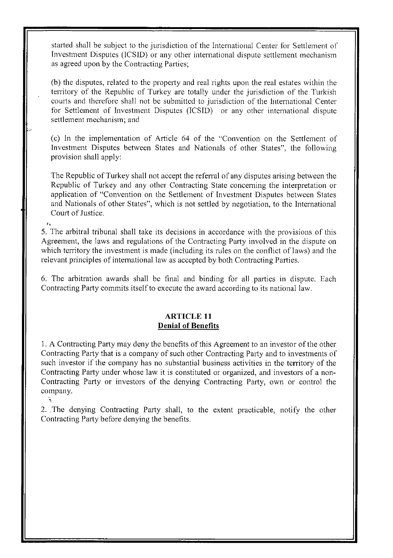started shall be subject to the jurisdiction of the International Center for Settlement of Investment Disputes (ICSID) or any other international dispute settlement mechanism as agreed upon by the Contracting Parties;

(b) the disputes, related to the property and real rights upon the real estates within the territory of the Republic of Turkey are totally under the jurisdiction of the Turkish courts and therefore shall not be submitted to jurisdiction of the International Center for Settlement of Investment Disputes (ICSID) or any other international dispute settlement mechanism; and

(c) In the implementation of Article 64 of the "Convention on the Settlement of Investment Disputes between States and Nationals of other States", the following provision shall apply:

The Republic of Turkey shall not accept the referral of any disputes arising between the Republic of Turkey and any other Contracting State concerning the interpretation or application of "Convention on the Settlement of Investment Disputes between States and Nationals of other States", which is not settled by negotiation, to the International Court of Justice.

5. The arbitral tribunal shall take its decisions in accordance with the provisions of this Agreement, the laws and regulations of the Contracting Party involved in the dispute on which territory the investment is made (including its rules on the conflict of laws) and the relevant principles of international law as accepted by both Contracting Parties.

6. The arbitration awards shall be final and binding for all parties in dispute. Each Contracting Party commits itself to execute the award according to its national law.

#### **ARTICLE 11 Denial of Benefits**

1. A Contracting Party may deny the benefits of this Agreement to an investor of the other Contracting Party that is a company of such other Contracting Party and to investments of such investor if the company has no substantial business activities in the territory of the Contracting Party under whose law it is constituted or organized, and investors of a non-Contracting Party or investors of the denying Contracting Party, own or control the company.

2. The denying Contracting Party shall, to the extent practicable, notify the other Contracting Party before denying the benefits.

÷,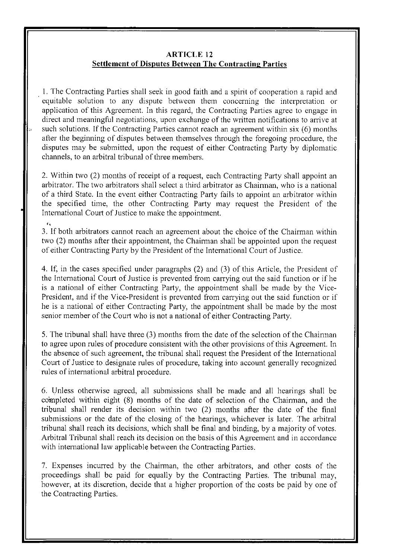## **ARTICLE 12 Settlement of Disputes Between The Contracting Parties**

I. The Contracting Parties shall seek in good faith and a spirit of cooperation a rapid and equitable solution to any dispute between them concerning the interpretation or application of this Agreement. In this regard, the Contracting Parties agree to engage in direct and meaningful negotiations, upon exchange of the written notifications to arrive at such solutions. If the Contracting Parties cannot reach an agreement within six (6) months after the beginning of disputes between themselves through the foregoing procedure, the disputes may be submitted, upon the request of either Contracting Party by diplomatic channels, to an arbitral tribunal of three members.

2. Within two (2) months of receipt of a request, each Contracting Party shall appoint an arbitrator. The two arbitrators shall select a third arbitrator as Chainnan, who is a national of a third State. In the event either Contracting Party fails to appoint an arbitrator within the specified time, the other Contracting Party may request the President of the International Court of Justice to make the appointment.

3. If both arbitrators cannot reach an agreement about the choice of the Chairman within two (2) months after their appointment, the Chairman shall be appointed upon the request of either Contracting Party by the President of the International Court of Justice.

4. If, in the cases specified under paragraphs (2) and (3) of this Article, the President of the International Court of Justice is prevented from carrying out the said function or if he is a national of either Contracting Party, the appointment shall be made by the Vice-President, and if the Vice-President is prevented from carrying out the said function or if he is a national of either Contracting Party, the appointment shall be made by the most senior member of the Court who is not a national of either Contracting Party.

5. The tribunal shall have three (3) months from the date of the selection of the Chainnan to agree upon rules of procedure consistent with the other provisions of this Agreement. In the absence of such agreement, the tribunal shall request the President of the International Court of Justice to designate rules of procedure, taking into account generally recognized rules of international arbitral procedure.

6. Unless otherwise agreed, all submissions shall be made and all hearings shall be completed within eight (8) months of the date of selection of the Chairman, and the tribunal shall render its decision within two (2) months after the date of the final submissions or the date of the closing of the hearings, whichever is later. The arbitral tribunal shall reach its decisions, which shall be final and binding, by a majority of votes. Arbitral Tribunal shall reach its decision on the basis of this Agreement and in accordance with international law applicable between the Contracting Parties.

7. Expenses incurred by the Chainnan, the other arbitrators, and other costs of the proceedings shall be paid for equally by the Contracting Parties. The tribunal may, however, at its discretion, decide that a higher proportion of the costs be paid by one of the Contracting Parties.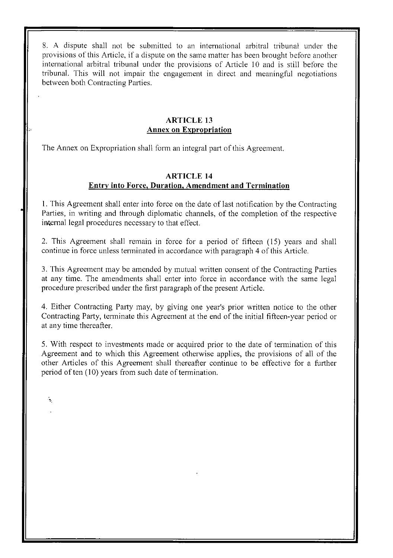8. A dispute shall not be submitted to an international arbitral tribunal under the provisions of this Article, if a dispute on the same matter has been brought before another international arbitral tribunal under the provisions of Article 10 and is still before the tribunal. This will not impair the engagement in direct and meaningful negotiations between both Contracting Parties.

## **ARTICLE 13 Annex on Expropriation**

The Annex on Expropriation shall form an integral part of this Agreement.

# **ARTICLE 14 Entry into Force, Duration, Amendment and Termination**

I. This Agreement shall enter into force on the date of last notification by the Contracting Parties, in writing and through diplomatic channels, of the completion of the respective internal legal procedures necessary to that effect.

2. This Agreement shall remain in force for a period of fifteen ( 15) years and shall continue in force unless tenninated in accordance with paragraph 4 of this Article.

3. This Agreement may be amended by mutual written consent of the Contracting Parties at any time. The amendments shall enter into force in accordance with the same legal procedure prescribed under the first paragraph of the present Article.

4. Either Contracting Party may, by giving one year's prior written notice to the other Contracting Party, tenninate this Agreement at the end of the initial fifteen-year period or at any time thereafter.

5. With respect to investments made or acquired prior to the date of termination of this Agreement and to which this Agreement otherwise applies, the provisions of all of the other Ariicles of this Agreement shall thereafter continue to be effective for a further period of ten (10) years from such date of termination.

े.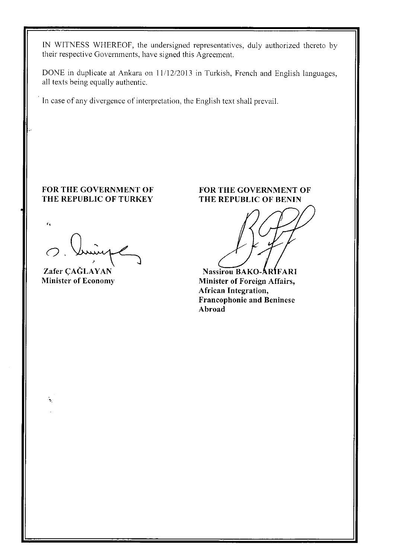**IN** WITNESS WHEREOF, the undersigned representatives, duly authorized thereto by their respective Governments, have signed this Agreement.

DONE in duplicate at Ankara on 11/12/2013 in Turkish, French and English languages, all texts being equally authentic.

In case of any divergence of interpretation, the English text shall prevail.

# **FOR THE GOVERNMENT OF THE REPUBLIC OF TURKEY**

''

٠,

*o.* 

**Zafer CAĞLAYAN Minister of Economy** 

#### **FOR THE GOVERNMENT OF THE REPUBLIC OF BENIN**

**Nassirou BAKO-ARIFARI** 

**Minister of Foreign Affairs, African Integration, Francophonie and Beninese Abroad**